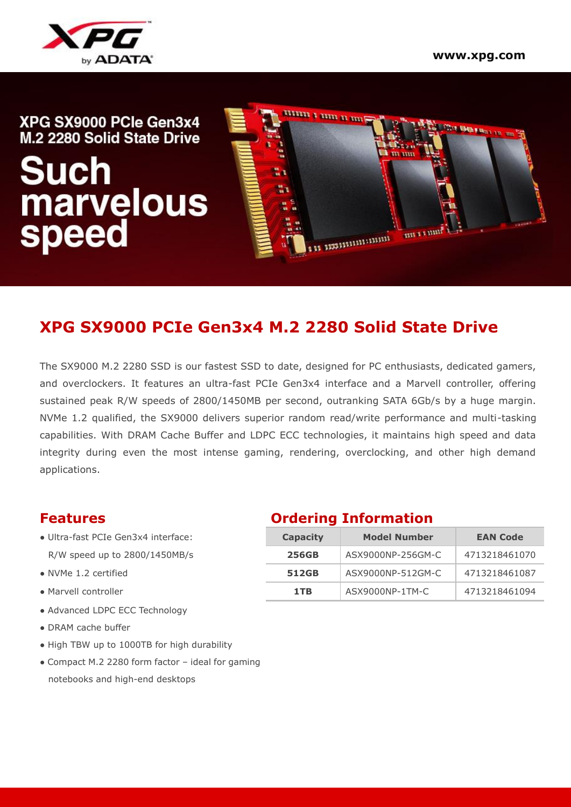

# 1111111 1 11111 11 1111 | XPG SX9000 PCle Gen3x4 **This SMERGEL IN THE** M.2 2280 Solid State Drive Such<br>marvelous<br>speed una4 immannimmen u

## **XPG SX9000 PCIe Gen3x4 M.2 2280 Solid State Drive**

The SX9000 M.2 2280 SSD is our fastest SSD to date, designed for PC enthusiasts, dedicated gamers, and overclockers. It features an ultra-fast PCIe Gen3x4 interface and a Marvell controller, offering sustained peak R/W speeds of 2800/1450MB per second, outranking SATA 6Gb/s by a huge margin. NVMe 1.2 qualified, the SX9000 delivers superior random read/write performance and multi-tasking capabilities. With DRAM Cache Buffer and LDPC ECC technologies, it maintains high speed and data integrity during even the most intense gaming, rendering, overclocking, and other high demand applications.

- $\bullet$  Ultra-fast PCIe Gen3x4 interface: R/W speed up to 2800/1450MB/s
- $\bullet$  NVMe 1.2 certified
- $\bullet$  Marvell controller
- Advanced LDPC ECC Technology
- DRAM cache buffer
- High TBW up to 1000TB for high durability
- Compact M.2 2280 form factor ideal for gaming notebooks and high-end desktops

#### **Features Ordering Information**

| <b>Capacity</b> | <b>Model Number</b> | <b>EAN Code</b> |  |  |
|-----------------|---------------------|-----------------|--|--|
| <b>256GB</b>    | ASX9000NP-256GM-C   | 4713218461070   |  |  |
| 512GB           | ASX9000NP-512GM-C   | 4713218461087   |  |  |
| 1TB             | ASX9000NP-1TM-C     | 4713218461094   |  |  |